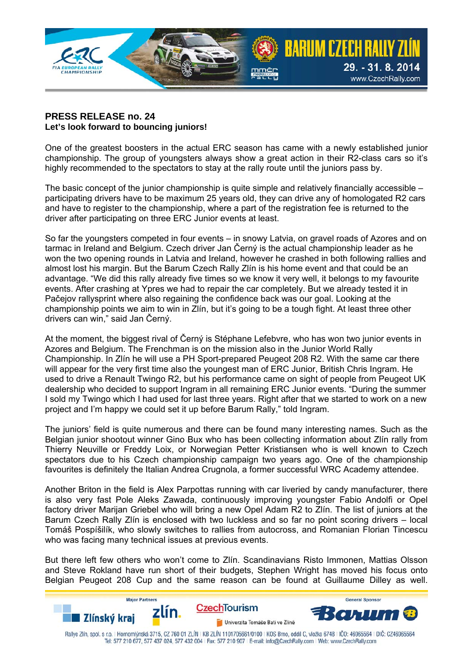

## **PRESS RELEASE no. 24 Let's look forward to bouncing juniors!**

One of the greatest boosters in the actual ERC season has came with a newly established junior championship. The group of youngsters always show a great action in their R2-class cars so it's highly recommended to the spectators to stay at the rally route until the juniors pass by.

The basic concept of the junior championship is quite simple and relatively financially accessible – participating drivers have to be maximum 25 years old, they can drive any of homologated R2 cars and have to register to the championship, where a part of the registration fee is returned to the driver after participating on three ERC Junior events at least.

So far the youngsters competed in four events – in snowy Latvia, on gravel roads of Azores and on tarmac in Ireland and Belgium. Czech driver Jan Černý is the actual championship leader as he won the two opening rounds in Latvia and Ireland, however he crashed in both following rallies and almost lost his margin. But the Barum Czech Rally Zlín is his home event and that could be an advantage. "We did this rally already five times so we know it very well, it belongs to my favourite events. After crashing at Ypres we had to repair the car completely. But we already tested it in Pačejov rallysprint where also regaining the confidence back was our goal. Looking at the championship points we aim to win in Zlín, but it's going to be a tough fight. At least three other drivers can win," said Jan Černý.

At the moment, the biggest rival of Černý is Stéphane Lefebvre, who has won two junior events in Azores and Belgium. The Frenchman is on the mission also in the Junior World Rally Championship. In Zlín he will use a PH Sport-prepared Peugeot 208 R2. With the same car there will appear for the very first time also the youngest man of ERC Junior, British Chris Ingram. He used to drive a Renault Twingo R2, but his performance came on sight of people from Peugeot UK dealership who decided to support Ingram in all remaining ERC Junior events. "During the summer I sold my Twingo which I had used for last three years. Right after that we started to work on a new project and I'm happy we could set it up before Barum Rally," told Ingram.

The juniors' field is quite numerous and there can be found many interesting names. Such as the Belgian junior shootout winner Gino Bux who has been collecting information about Zlín rally from Thierry Neuville or Freddy Loix, or Norwegian Petter Kristiansen who is well known to Czech spectators due to his Czech championship campaign two years ago. One of the championship favourites is definitely the Italian Andrea Crugnola, a former successful WRC Academy attendee.

Another Briton in the field is Alex Parpottas running with car liveried by candy manufacturer, there is also very fast Pole Aleks Zawada, continuously improving youngster Fabio Andolfi or Opel factory driver Marijan Griebel who will bring a new Opel Adam R2 to Zlín. The list of juniors at the Barum Czech Rally Zlín is enclosed with two luckless and so far no point scoring drivers – local Tomáš Pospíšilík, who slowly switches to rallies from autocross, and Romanian Florian Tincescu who was facing many technical issues at previous events.

But there left few others who won't come to Zlín. Scandinavians Risto Immonen, Mattias Olsson and Steve Rokland have run short of their budgets, Stephen Wright has moved his focus onto Belgian Peugeot 208 Cup and the same reason can be found at Guillaume Dilley as well.